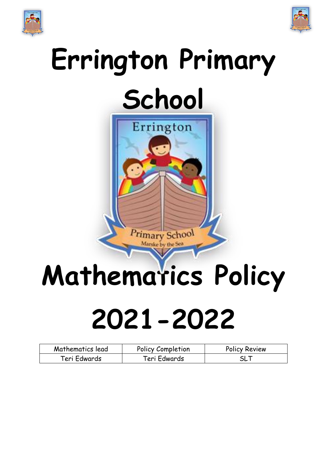



## **Errington Primary School**



# **Mathematics Policy 2021-2022**

| Mathematics lead | Policy Completion | <b>Policy Review</b> |
|------------------|-------------------|----------------------|
| Teri Edwards     | Teri Edwards      | SL 1                 |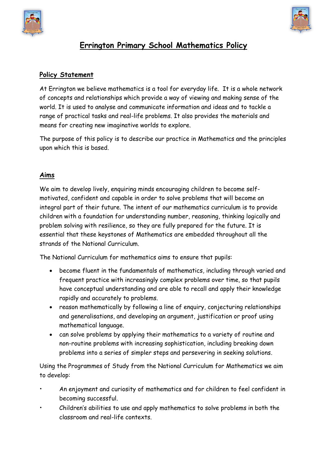



## **Errington Primary School Mathematics Policy**

#### **Policy Statement**

At Errington we believe mathematics is a tool for everyday life. It is a whole network of concepts and relationships which provide a way of viewing and making sense of the world. It is used to analyse and communicate information and ideas and to tackle a range of practical tasks and real-life problems. It also provides the materials and means for creating new imaginative worlds to explore.

The purpose of this policy is to describe our practice in Mathematics and the principles upon which this is based.

#### **Aims**

We aim to develop lively, enquiring minds encouraging children to become selfmotivated, confident and capable in order to solve problems that will become an integral part of their future. The intent of our mathematics curriculum is to provide children with a foundation for understanding number, reasoning, thinking logically and problem solving with resilience, so they are fully prepared for the future. It is essential that these keystones of Mathematics are embedded throughout all the strands of the National Curriculum.

The National Curriculum for mathematics aims to ensure that pupils:

- become fluent in the fundamentals of mathematics, including through varied and frequent practice with increasingly complex problems over time, so that pupils have conceptual understanding and are able to recall and apply their knowledge rapidly and accurately to problems.
- reason mathematically by following a line of enquiry, conjecturing relationships and generalisations, and developing an argument, justification or proof using mathematical language.
- can solve problems by applying their mathematics to a variety of routine and non-routine problems with increasing sophistication, including breaking down problems into a series of simpler steps and persevering in seeking solutions.

Using the Programmes of Study from the National Curriculum for Mathematics we aim to develop:

- An enjoyment and curiosity of mathematics and for children to feel confident in becoming successful.
- Children's abilities to use and apply mathematics to solve problems in both the classroom and real-life contexts.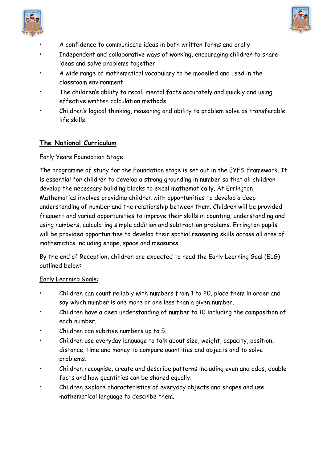



- A confidence to communicate ideas in both written forms and orally
- Independent and collaborative ways of working, encouraging children to share ideas and solve problems together
- A wide range of mathematical vocabulary to be modelled and used in the classroom environment
- The children's ability to recall mental facts accurately and quickly and using effective written calculation methods
- Children's logical thinking, reasoning and ability to problem solve as transferable life skills.

#### **The National Curriculum**

#### Early Years Foundation Stage

The programme of study for the Foundation stage is set out in the EYFS Framework. It is essential for children to develop a strong grounding in number so that all children develop the necessary building blocks to excel mathematically. At Errington, Mathematics involves providing children with opportunities to develop a deep understanding of number and the relationship between them. Children will be provided frequent and varied opportunities to improve their skills in counting, understanding and using numbers, calculating simple addition and subtraction problems. Errington pupils will be provided opportunities to develop their spatial reasoning skills across all ares of mathematics including shape, space and measures.

By the end of Reception, children are expected to read the Early Learning Goal (ELG) outlined below:

#### Early Learning Goals:

- Children can count reliably with numbers from 1 to 20, place them in order and say which number is one more or one less than a given number.
- Children have a deep understanding of number to 10 including the composition of each number.
- Children can subitise numbers up to 5.
- Children use everyday language to talk about size, weight, capacity, position, distance, time and money to compare quantities and objects and to solve problems.
- Children recognise, create and describe patterns including even and odds, double facts and how quantities can be shared equally.
- Children explore characteristics of everyday objects and shapes and use mathematical language to describe them.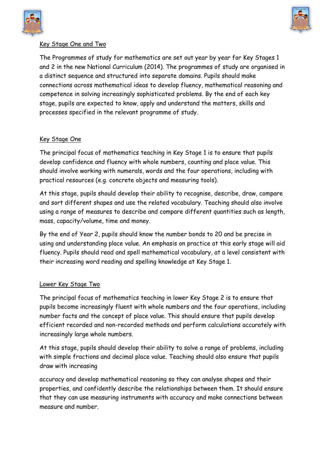



#### Key Stage One and Two

The Programmes of study for mathematics are set out year by year for Key Stages 1 and 2 in the new National Curriculum (2014). The programmes of study are organised in a distinct sequence and structured into separate domains. Pupils should make connections across mathematical ideas to develop fluency, mathematical reasoning and competence in solving increasingly sophisticated problems. By the end of each key stage, pupils are expected to know, apply and understand the matters, skills and processes specified in the relevant programme of study.

#### Key Stage One

The principal focus of mathematics teaching in Key Stage 1 is to ensure that pupils develop confidence and fluency with whole numbers, counting and place value. This should involve working with numerals, words and the four operations, including with practical resources (e.g. concrete objects and measuring tools).

At this stage, pupils should develop their ability to recognise, describe, draw, compare and sort different shapes and use the related vocabulary. Teaching should also involve using a range of measures to describe and compare different quantities such as length, mass, capacity/volume, time and money.

By the end of Year 2, pupils should know the number bonds to 20 and be precise in using and understanding place value. An emphasis on practice at this early stage will aid fluency. Pupils should read and spell mathematical vocabulary, at a level consistent with their increasing word reading and spelling knowledge at Key Stage 1.

#### Lower Key Stage Two

The principal focus of mathematics teaching in lower Key Stage 2 is to ensure that pupils become increasingly fluent with whole numbers and the four operations, including number facts and the concept of place value. This should ensure that pupils develop efficient recorded and non-recorded methods and perform calculations accurately with increasingly large whole numbers.

At this stage, pupils should develop their ability to solve a range of problems, including with simple fractions and decimal place value. Teaching should also ensure that pupils draw with increasing

accuracy and develop mathematical reasoning so they can analyse shapes and their properties, and confidently describe the relationships between them. It should ensure that they can use measuring instruments with accuracy and make connections between measure and number.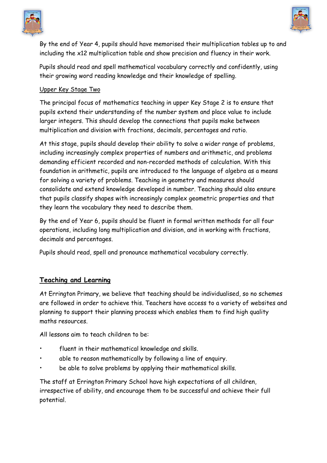



By the end of Year 4, pupils should have memorised their multiplication tables up to and including the x12 multiplication table and show precision and fluency in their work.

Pupils should read and spell mathematical vocabulary correctly and confidently, using their growing word reading knowledge and their knowledge of spelling.

#### Upper Key Stage Two

The principal focus of mathematics teaching in upper Key Stage 2 is to ensure that pupils extend their understanding of the number system and place value to include larger integers. This should develop the connections that pupils make between multiplication and division with fractions, decimals, percentages and ratio.

At this stage, pupils should develop their ability to solve a wider range of problems, including increasingly complex properties of numbers and arithmetic, and problems demanding efficient recorded and non-recorded methods of calculation. With this foundation in arithmetic, pupils are introduced to the language of algebra as a means for solving a variety of problems. Teaching in geometry and measures should consolidate and extend knowledge developed in number. Teaching should also ensure that pupils classify shapes with increasingly complex geometric properties and that they learn the vocabulary they need to describe them.

By the end of Year 6, pupils should be fluent in formal written methods for all four operations, including long multiplication and division, and in working with fractions, decimals and percentages.

Pupils should read, spell and pronounce mathematical vocabulary correctly.

#### **Teaching and Learning**

At Errington Primary, we believe that teaching should be individualised, so no schemes are followed in order to achieve this. Teachers have access to a variety of websites and planning to support their planning process which enables them to find high quality maths resources.

All lessons aim to teach children to be:

- fluent in their mathematical knowledge and skills.
- able to reason mathematically by following a line of enquiry.
- be able to solve problems by applying their mathematical skills.

The staff at Errington Primary School have high expectations of all children, irrespective of ability, and encourage them to be successful and achieve their full potential.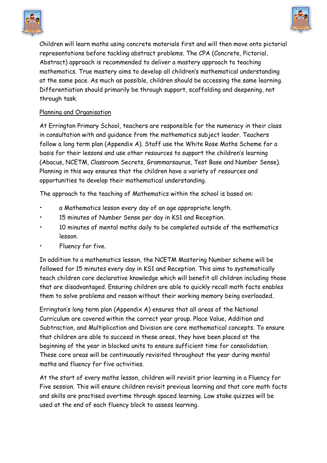



Children will learn maths using concrete materials first and will then move onto pictorial representations before tackling abstract problems. The CPA (Concrete, Pictorial, Abstract) approach is recommended to deliver a mastery approach to teaching mathematics. True mastery aims to develop all children's mathematical understanding at the same pace. As much as possible, children should be accessing the same learning. Differentiation should primarily be through support, scaffolding and deepening, not through task.

#### Planning and Organisation

At Errington Primary School, teachers are responsible for the numeracy in their class in consultation with and guidance from the mathematics subject leader. Teachers follow a long term plan (Appendix A). Staff use the White Rose Maths Scheme for a basis for their lessons and use other resources to support the children's learning (Abacus, NCETM, Classroom Secrets, Grammarsaurus, Test Base and Number Sense). Planning in this way ensures that the children have a variety of resources and opportunities to develop their mathematical understanding.

The approach to the teaching of Mathematics within the school is based on:

- a Mathematics lesson every day of an age appropriate length.
- 15 minutes of Number Sense per day in KS1 and Reception.
- 10 minutes of mental maths daily to be completed outside of the mathematics lesson.
- Fluency for five.

In addition to a mathematics lesson, the NCETM Mastering Number scheme will be followed for 15 minutes every day in KS1 and Reception. This aims to systematically teach children core declarative knowledge which will benefit all children including those that are disadvantaged. Ensuring children are able to quickly recall math facts enables them to solve problems and reason without their working memory being overloaded.

Errington's long term plan (Appendix A) ensures that all areas of the National Curriculum are covered within the correct year group. Place Value, Addition and Subtraction, and Multiplication and Division are core mathematical concepts. To ensure that children are able to succeed in these areas, they have been placed at the beginning of the year in blocked units to ensure sufficient time for consolidation. These core areas will be continuously revisited throughout the year during mental maths and fluency for five activities.

At the start of every maths lesson, children will revisit prior learning in a Fluency for Five session. This will ensure children revisit previous learning and that core math facts and skills are practised overtime through spaced learning. Low stake quizzes will be used at the end of each fluency block to assess learning.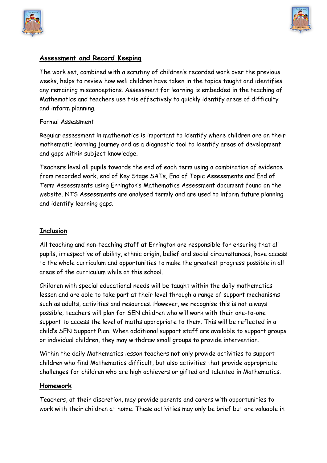



#### **Assessment and Record Keeping**

The work set, combined with a scrutiny of children's recorded work over the previous weeks, helps to review how well children have taken in the topics taught and identifies any remaining misconceptions. Assessment for learning is embedded in the teaching of Mathematics and teachers use this effectively to quickly identify areas of difficulty and inform planning.

#### Formal Assessment

Regular assessment in mathematics is important to identify where children are on their mathematic learning journey and as a diagnostic tool to identify areas of development and gaps within subject knowledge.

Teachers level all pupils towards the end of each term using a combination of evidence from recorded work, end of Key Stage SATs, End of Topic Assessments and End of Term Assessments using Errington's Mathematics Assessment document found on the website. NTS Assessments are analysed termly and are used to inform future planning and identify learning gaps.

#### **Inclusion**

All teaching and non-teaching staff at Errington are responsible for ensuring that all pupils, irrespective of ability, ethnic origin, belief and social circumstances, have access to the whole curriculum and opportunities to make the greatest progress possible in all areas of the curriculum while at this school.

Children with special educational needs will be taught within the daily mathematics lesson and are able to take part at their level through a range of support mechanisms such as adults, activities and resources. However, we recognise this is not always possible, teachers will plan for SEN children who will work with their one-to-one support to access the level of maths appropriate to them. This will be reflected in a child's SEN Support Plan. When additional support staff are available to support groups or individual children, they may withdraw small groups to provide intervention.

Within the daily Mathematics lesson teachers not only provide activities to support children who find Mathematics difficult, but also activities that provide appropriate challenges for children who are high achievers or gifted and talented in Mathematics.

#### **Homework**

Teachers, at their discretion, may provide parents and carers with opportunities to work with their children at home. These activities may only be brief but are valuable in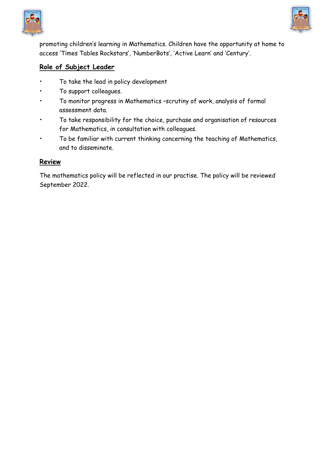



promoting children's learning in Mathematics. Children have the opportunity at home to access 'Times Tables Rockstars', 'NumberBots', 'Active Learn' and 'Century'.

#### **Role of Subject Leader**

- To take the lead in policy development
- To support colleagues.
- To monitor progress in Mathematics –scrutiny of work, analysis of formal assessment data.
- To take responsibility for the choice, purchase and organisation of resources for Mathematics, in consultation with colleagues.
- To be familiar with current thinking concerning the teaching of Mathematics, and to disseminate.

#### **Review**

The mathematics policy will be reflected in our practise. The policy will be reviewed September 2022.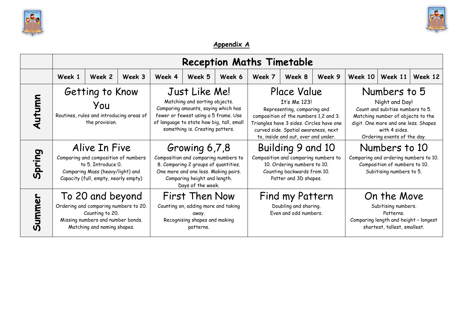



### **Appendix A**

|        |        |                                                                                                                                                         |        |                                                                                                                                                                                                               |        |        | <b>Reception Maths Timetable</b> |                                                                                                                                                                                                                                |        |                                                                                                                                                                                                 |         |         |
|--------|--------|---------------------------------------------------------------------------------------------------------------------------------------------------------|--------|---------------------------------------------------------------------------------------------------------------------------------------------------------------------------------------------------------------|--------|--------|----------------------------------|--------------------------------------------------------------------------------------------------------------------------------------------------------------------------------------------------------------------------------|--------|-------------------------------------------------------------------------------------------------------------------------------------------------------------------------------------------------|---------|---------|
|        | Week 1 | Week 2                                                                                                                                                  | Week 3 | Week 4                                                                                                                                                                                                        | Week 5 | Week 6 | Week 7                           | Week 8                                                                                                                                                                                                                         | Week 9 | Week 10                                                                                                                                                                                         | Week 11 | Week 12 |
| Autumn |        | Getting to Know<br>Уои<br>Routines, rules and introducing areas of<br>the provision.                                                                    |        | Just Like Me!<br>Matching and sorting objects.<br>Comparing amounts, saying which has<br>fewer or fewest using a 5 frame. Use<br>of language to state how big, tall, small<br>something is. Creating patters. |        |        |                                  | Place Value<br>It's Me 123!<br>Representing, comparing and<br>composition of the numbers 1,2 and 3.<br>Triangles have 3 sides. Circles have one<br>curved side. Spatial awareness, next<br>to, inside and out, over and under. |        | Numbers to 5<br>Night and Day!<br>Count and subitise numbers to 5.<br>Matching number of objects to the<br>digit. One more and one less. Shapes<br>with 4 sides.<br>Ordering events of the day. |         |         |
| Spring |        | Alive In Five<br>Comparing and composition of numbers<br>to 5. Introduce 0.<br>Comparing Mass (heavy/light) and<br>Capacity (full, empty, nearly empty) |        | Growing 6,7,8<br>Composition and comparing numbers to<br>8. Comparing 2 groups of quantities.<br>One more and one less. Making pairs.<br>Comparing height and length.<br>Days of the week.                    |        |        |                                  | Building 9 and 10<br>Composition and comparing numbers to<br>10. Ordering numbers to 10.<br>Counting backwards from 10.<br>Patter and 3D shapes.                                                                               |        | Numbers to 10<br>Comparing and ordering numbers to 10.<br>Composition of numbers to 10.<br>Subitising numbers to 5.                                                                             |         |         |
| Summer |        | To 20 and beyond<br>Ordering and comparing numbers to 20.<br>Counting to 20.<br>Missing numbers and number bonds.<br>Matching and naming shapes.        |        | <b>First Then Now</b><br>Counting on, adding more and taking<br>away.<br>Recognising shapes and making<br>patterns.                                                                                           |        |        |                                  | Find my Pattern<br>Doubling and sharing.<br>Even and odd numbers.                                                                                                                                                              |        | On the Move<br>Subitising numbers.<br>Patterns<br>Comparing length and height - longest<br>shortest, tallest, smallest.                                                                         |         |         |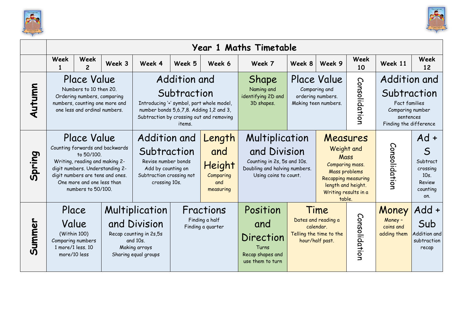



|        |                                                                                                                                                                                                                                                                                                                      |                        |        |                                                                                                                       |                                                  |                                                          | Year 1 Maths Timetable                                                                                                  |        |                                                                                                                                                          |                   |                                                                                                         |                                                                                       |
|--------|----------------------------------------------------------------------------------------------------------------------------------------------------------------------------------------------------------------------------------------------------------------------------------------------------------------------|------------------------|--------|-----------------------------------------------------------------------------------------------------------------------|--------------------------------------------------|----------------------------------------------------------|-------------------------------------------------------------------------------------------------------------------------|--------|----------------------------------------------------------------------------------------------------------------------------------------------------------|-------------------|---------------------------------------------------------------------------------------------------------|---------------------------------------------------------------------------------------|
|        | Week<br>1                                                                                                                                                                                                                                                                                                            | Week<br>$\mathfrak{p}$ | Week 3 | Week 4                                                                                                                | Week 5                                           | Week 6                                                   | Week 7                                                                                                                  | Week 8 | Week 9                                                                                                                                                   | <b>Week</b><br>10 | Week 11                                                                                                 | Week<br>12                                                                            |
| Autumn | Addition and<br>Place Value<br>Numbers to 10 then 20.<br>Subtraction<br>Ordering numbers, comparing<br>numbers, counting one more and<br>Introducing '+' symbol, part whole model,<br>one less and ordinal numbers.<br>number bonds 5,6,7,8. Adding 1,2 and 3,<br>Subtraction by crossing out and removing<br>items. |                        |        |                                                                                                                       |                                                  |                                                          | Shape<br>Naming and<br>identifying 2D and<br>3D shapes.                                                                 |        | Place Value<br>Comparing and<br>ordering numbers.<br>Making teen numbers.                                                                                | Consolidation     | Addition and<br>Subtraction<br>Fact families<br>Comparing number<br>sentences<br>Finding the difference |                                                                                       |
| Spring | Place Value<br>Counting forwards and backwards<br>to 50/100.<br>Writing, reading and making 2-<br>digit numbers. Understanding 2-<br>digit numbers are tens and ones.<br>One more and one less than<br>numbers to 50/100.                                                                                            |                        |        | Addition and<br>Subtraction<br>Revise number bonds<br>Add by counting on<br>Subtraction crossing not<br>crossing 10s. |                                                  | Length<br>and<br>Height<br>Comparing<br>and<br>measuring | Multiplication<br>and Division<br>Counting in 2s, 5s and 10s.<br>Doubling and halving numbers.<br>Using coins to count. |        | Measures<br>Weight and<br>Mass<br>Comparing mass.<br>Mass problems<br><b>Recapping measuring</b><br>length and height.<br>Writing results in a<br>table. |                   | Consolidation                                                                                           | $Ad +$<br>$\mathsf S$<br>Subtract<br>crossing<br>$10s$ .<br>Review<br>counting<br>on. |
| Summer | Place<br>Value<br>(Within 100)<br>Comparing numbers<br>1 more/1 less. 10<br>more/10 less                                                                                                                                                                                                                             |                        |        | Multiplication<br>and Division<br>Recap counting in 2s,5s<br>and 10s.<br>Making arrays<br>Sharing equal groups        | Fractions<br>Finding a half<br>Finding a quarter |                                                          | Position<br>and<br>Direction<br>Turns<br>Recap shapes and<br>use them to turn                                           |        | Time<br>Dates and reading a<br>calendar.<br>Telling the time to the<br>hour/half past.                                                                   | Consolidation     | Money<br>Money -<br>coins and<br>adding them                                                            | Add +<br>Sub<br>Addition and<br>subtraction<br>recap                                  |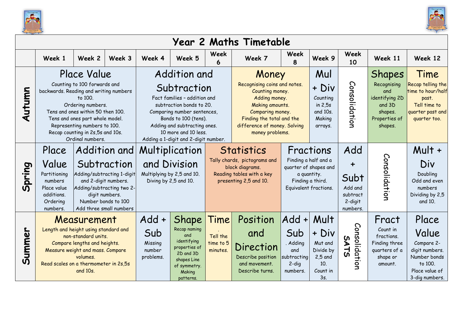



|        |                                                                                                                                                                                                                                                                                      |                                                                                                                                                                                                                                             |        |                                                                                                                                                                                                                                                |                                                                                                                                 |                                                                                                                             | Year 2 Maths Timetable                                                                                                                                                                                                                                                     |                                                                        |                                                                                           |                                                                                    |                                                                                                 |                                                                                                               |
|--------|--------------------------------------------------------------------------------------------------------------------------------------------------------------------------------------------------------------------------------------------------------------------------------------|---------------------------------------------------------------------------------------------------------------------------------------------------------------------------------------------------------------------------------------------|--------|------------------------------------------------------------------------------------------------------------------------------------------------------------------------------------------------------------------------------------------------|---------------------------------------------------------------------------------------------------------------------------------|-----------------------------------------------------------------------------------------------------------------------------|----------------------------------------------------------------------------------------------------------------------------------------------------------------------------------------------------------------------------------------------------------------------------|------------------------------------------------------------------------|-------------------------------------------------------------------------------------------|------------------------------------------------------------------------------------|-------------------------------------------------------------------------------------------------|---------------------------------------------------------------------------------------------------------------|
|        | Week 1                                                                                                                                                                                                                                                                               | Week 2                                                                                                                                                                                                                                      | Week 3 | Week 4                                                                                                                                                                                                                                         | Week 5                                                                                                                          | <b>Week</b><br>6                                                                                                            | Week 7                                                                                                                                                                                                                                                                     | Week<br>8                                                              | Week 9                                                                                    | Week<br>10                                                                         | Week 11                                                                                         | Week 12                                                                                                       |
| Autumn | backwards. Reading and writing numbers                                                                                                                                                                                                                                               | Place Value<br>Counting to 100 forwards and<br>to 100.<br>Ordering numbers.<br>Tens and ones within 50 then 100.<br>Tens and ones part whole model.<br>Representing numbers to 100.<br>Recap counting in 2s,5s and 10s.<br>Ordinal numbers. |        | Addition and<br>Subtraction<br>Fact families - addition and<br>subtraction bonds to 20.<br>Comparing number sentences,<br>Bonds to 100 (tens).<br>Adding and subtracting ones.<br>10 more and 10 less.<br>Adding a 1-digit and 2-digit number. |                                                                                                                                 |                                                                                                                             | Mul<br>Money<br>Recognising coins and notes.<br>+ Div<br>Counting money.<br>Adding money.<br>Counting<br>in $2,5s$<br>Making amounts.<br>and 10s.<br>Comparing money.<br>Finding the total and the<br>Making<br>difference of money. Solving<br>arrays.<br>money problems. |                                                                        |                                                                                           | Consolidation                                                                      | Shapes<br>Recognising<br>and<br>identifying 2D<br>and 3D<br>shapes.<br>Properties of<br>shapes. | Time<br>Recap telling the<br>time to hour/half<br>past.<br>Tell time to<br>quarter past and<br>quarter too.   |
| Spring | Addition and<br>Place<br>Value<br>Subtraction<br>Adding/subtracting 1-digit<br>Partitioning<br>and 2-digit numbers.<br>numbers<br>Adding/subtracting two 2-<br>Place value<br>additions.<br>digit numbers.<br>Number bonds to 100<br>Ordering<br>Add three small numbers<br>numbers. |                                                                                                                                                                                                                                             |        |                                                                                                                                                                                                                                                | Multiplication<br>and Division<br>Multiplying by 2,5 and 10.<br>Diving by 2,5 and 10.                                           | <b>Statistics</b><br>Tally chards, pictograms and<br>block diagrams.<br>Reading tables with a key<br>presenting 2,5 and 10. | Add<br>Fractions<br>Finding a half and a<br>quarter of shapes and<br>a quantity.<br>Subt<br>Finding a third.<br>Add and<br>Equivalent fractions.<br>subtract<br>2-digit<br>numbers.                                                                                        |                                                                        | Consolidation                                                                             | Mult +<br>Div<br>Doubling<br>Odd and even<br>numbers<br>Dividing by 2,5<br>and 10. |                                                                                                 |                                                                                                               |
| Summer | Length and height using standard and<br>Read scales on a thermometer in 2s,5s                                                                                                                                                                                                        | Measurement<br>non-standard units.<br>Compare lengths and heights.<br>Measure weight and mass. Compare<br>volumes.<br>and 10s.                                                                                                              |        | $Add +$<br>Sub<br>Missing<br>number<br>problems.                                                                                                                                                                                               | Shape<br>Recap naming<br>and<br>identifying<br>properties of<br>2D and 3D<br>shapes Line<br>of symmetry.<br>Making<br>patterns. | Time<br>Tell the<br>time to 5<br>minutes.                                                                                   | Position<br>and<br>Direction<br>Describe position<br>and movement.<br>Describe turns.                                                                                                                                                                                      | Add +<br>Sub<br>. Adding<br>and<br>subtracting<br>$2$ -dig<br>numbers. | Mult<br>+ Div<br>Mut and<br>Divide by<br>2,5 and<br>10 <sub>1</sub><br>Count in<br>$3s$ . | Consolidatior<br><b>SA</b><br>$\overline{5}$                                       | Fract<br>Count in<br>fractions.<br>Finding three<br>quarters of a<br>shape or<br>amount.        | Place<br>Value<br>Compare 2-<br>digit numbers.<br>Number bonds<br>to 100.<br>Place value of<br>3-dig numbers. |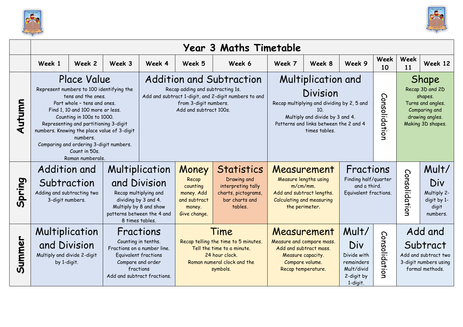



|        |                                                                                      |                                                                                                                                                                                                                                                                                                                    |                                                    |                                                                                                                                                            |                                                                                     | <b>Year 3 Maths Timetable</b>                                                                                                           |                                                                                                                                                                  |                                                                                                               |                                                                                                                          |            |               |                                                                                         |
|--------|--------------------------------------------------------------------------------------|--------------------------------------------------------------------------------------------------------------------------------------------------------------------------------------------------------------------------------------------------------------------------------------------------------------------|----------------------------------------------------|------------------------------------------------------------------------------------------------------------------------------------------------------------|-------------------------------------------------------------------------------------|-----------------------------------------------------------------------------------------------------------------------------------------|------------------------------------------------------------------------------------------------------------------------------------------------------------------|---------------------------------------------------------------------------------------------------------------|--------------------------------------------------------------------------------------------------------------------------|------------|---------------|-----------------------------------------------------------------------------------------|
|        | Week 1                                                                               | Week 2                                                                                                                                                                                                                                                                                                             | Week 3                                             | Week 4                                                                                                                                                     | Week 5                                                                              | Week 6                                                                                                                                  | Week 7                                                                                                                                                           | Week 8                                                                                                        | Week 9                                                                                                                   | Week<br>10 | Week<br>11    | Week 12                                                                                 |
| Autumn | numbers. Knowing the place value of 3-digit                                          | Place Value<br>Represent numbers to 100 identifying the<br>tens and the ones.<br>Part whole - tens and ones.<br>Find 1, 10 and 100 more or less.<br>Counting in 100s to 1000.<br>Representing and partitioning 3-digit<br>numbers.<br>Comparing and ordering 3-digit numbers.<br>Count in 50s.<br>Roman numberals. |                                                    |                                                                                                                                                            | Recap adding and subtracting 1s.<br>from 3-digit numbers.<br>Add and subtract 100s. | <b>Addition and Subtraction</b><br>Add and subtract 1-digit, and 2-digit numbers to and                                                 | Multiplication and<br><b>Division</b><br>Recap multiplying and dividing by 2, 5 and<br>Multiply and divide by 3 and 4.<br>Patterns and links between the 2 and 4 | Consolidation                                                                                                 | <b>Shape</b><br>Recap 3D and 2D<br>shapes.<br>Turns and angles.<br>Comparing and<br>drawing angles.<br>Making 3D shapes. |            |               |                                                                                         |
| Spring | <b>Addition and</b><br>Subtraction<br>Adding and subtracting two<br>3-digit numbers. |                                                                                                                                                                                                                                                                                                                    |                                                    | Multiplication<br>and Division<br>Recap multiplying and<br>dividing by 3 and 4.<br>Multiply by 8 and show<br>patterns between the 4 and<br>8 times tables. | Money<br>Recap<br>counting<br>money. Add<br>and subtract<br>money.<br>Give change.  | <b>Statistics</b><br>Drawing and<br>interpreting tally<br>charts, pictograms,<br>bar charts and<br>tables.                              | <b>Calculating and measuring</b><br>the perimeter.                                                                                                               | Measurement<br>Measure lengths using<br>$m/cm/mm$ .<br>Add and subtract lengths.                              | Fractions<br>Finding half/quarter<br>and a third.<br>Equivalent fractions.                                               |            | Consolidatior | Mult/<br>Div<br>Multiply 2-<br>digit by 1-<br>digit<br>numbers.                         |
| Summer | Multiplication<br>and Division<br>Multiply and divide 2-digit<br>by 1-digit.         |                                                                                                                                                                                                                                                                                                                    | Counting in tenths.<br>Add and subtract fractions. | Fractions<br>Fractions on a number line.<br><b>Equivalent fractions</b><br>Compare and order<br>fractions                                                  |                                                                                     | Time<br>Recap telling the time to 5 minutes.<br>Tell the time to a minute.<br>24 hour clock.<br>Roman numeral clock and the<br>symbols. | Compare volume.                                                                                                                                                  | Measurement<br>Measure and compare mass.<br>Add and subtract mass.<br>Measure capacity.<br>Recap temperature. | Mult/<br>Consolidatio<br>Div<br>Divide with<br>remainders<br>Mult/divid<br>2-digit by<br>$\mathbf{z}$<br>1-digit.        |            |               | Add and<br>Subtract<br>Add and subtract two<br>3-digit numbers using<br>formal methods. |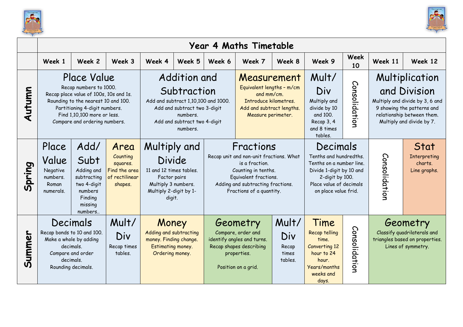



|                         |                                                                                                                                       |                                                                                                                                                                                                                         |                                                                            |                                                                                                                                     |                                                                                                                                                            |        | <b>Year 4 Maths Timetable</b>                                                                                                                                                           |                                           |                                                                                                                                                                  |               |                                                                                                                                                            |                                                 |
|-------------------------|---------------------------------------------------------------------------------------------------------------------------------------|-------------------------------------------------------------------------------------------------------------------------------------------------------------------------------------------------------------------------|----------------------------------------------------------------------------|-------------------------------------------------------------------------------------------------------------------------------------|------------------------------------------------------------------------------------------------------------------------------------------------------------|--------|-----------------------------------------------------------------------------------------------------------------------------------------------------------------------------------------|-------------------------------------------|------------------------------------------------------------------------------------------------------------------------------------------------------------------|---------------|------------------------------------------------------------------------------------------------------------------------------------------------------------|-------------------------------------------------|
|                         | Week 1                                                                                                                                | Week 2                                                                                                                                                                                                                  | Week 3                                                                     | Week 4                                                                                                                              | Week 5                                                                                                                                                     | Week 6 | Week 7                                                                                                                                                                                  | Week 8                                    | Week 9                                                                                                                                                           | Week<br>10    | Week 11                                                                                                                                                    | Week 12                                         |
| Autumn                  |                                                                                                                                       | Place Value<br>Recap numbers to 1000.<br>Recap place value of 100s, 10s and 1s.<br>Rounding to the nearest 10 and 100.<br>Partitioning 4-digit numbers.<br>Find 1,10,100 more or less.<br>Compare and ordering numbers. |                                                                            |                                                                                                                                     | Addition and<br>Subtraction<br>Add and subtract 1,10,100 and 1000.<br>Add and subtract two 3-digit<br>numbers.<br>Add and subtract two 4-digit<br>numbers. |        | Measurement<br>Equivalent lengths - m/cm<br>and mm/cm.<br>Introduce kilometres.<br>Add and subtract lengths.<br>Measure perimeter.                                                      |                                           | Mult/<br>Div<br>Multiply and<br>divide by 10<br>and 100.<br>Recap 3, 4<br>and 8 times<br>tables.                                                                 | Consolidation | Multiplication<br>and Division<br>Multiply and divide by 3, 6 and<br>9 showing the patterns and<br>relationship between them.<br>Multiply and divide by 7. |                                                 |
| pring<br>$\overline{M}$ | Place<br>Value<br>Negative<br>numbers.<br>Roman<br>numerals.                                                                          | Add/<br>Subt<br>Adding and<br>subtracting<br>two 4-digit<br>numbers<br>Finding<br>missing<br>numbers                                                                                                                    | Area<br>Counting<br>squares.<br>Find the area<br>of rectilinear<br>shapes. | Multiply and<br><b>Divide</b><br>11 and 12 times tables.<br>Factor pairs<br>Multiply 3 numbers.<br>Multiply 2-digit by 1-<br>digit. |                                                                                                                                                            |        | Fractions<br>Recap unit and non-unit fractions. What<br>is a fraction.<br>Counting in tenths.<br>Equivalent fractions.<br>Adding and subtracting fractions.<br>Fractions of a quantity. |                                           | Decimals<br>Tenths and hundredths.<br>Tenths on a number line.<br>Divide 1-digit by 10 and<br>2-digit by 100.<br>Place value of decimals<br>on place value frid. |               | Consolidation                                                                                                                                              | Stat<br>Interpreting<br>charts.<br>Line graphs. |
| Summer                  | Decimals<br>Recap bonds to 10 and 100.<br>Make a whole by adding<br>decimals.<br>Compare and order<br>decimals.<br>Rounding decimals. |                                                                                                                                                                                                                         | Mult/<br>Div<br>Recap times<br>tables.                                     | Money<br>Adding and subtracting<br>money. Finding change.<br>Estimating money.<br>Ordering money.                                   |                                                                                                                                                            |        | Geometry<br>Compare, order and<br>identify angles and turns.<br>Recap shapes describing<br>properties.<br>Position on a grid.                                                           | Mult/<br>Div<br>Recap<br>times<br>tables. | Time<br>Consolidation<br>Recap telling<br>time.<br><b>Converting 12</b><br>hour to 24<br>hour.<br><b>Years/months</b><br>weeks and<br>days.                      |               | Geometry<br>Classify quadrilaterals and<br>triangles based on properties.<br>Lines of symmetry.                                                            |                                                 |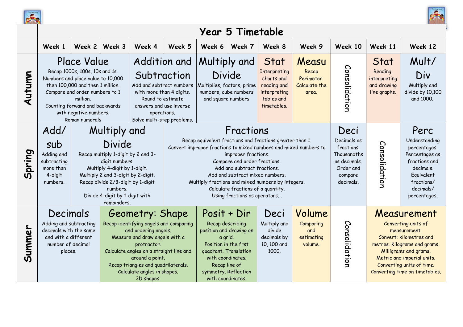



|        |                                                                                                                                                                                                                                                                                                                                        |                                                                                                                                                                                                                                                           |        |                                                                                                                                                                                                                                                                                      |        |                                                                                                                                                                                                                                                                                       | <b>Year 5 Timetable</b>                                                                                                                                                                                  |                                                                                                                                                                                   |                                                     |                                                                                                       |                                                                 |                                                                                                                                                                                                                                     |
|--------|----------------------------------------------------------------------------------------------------------------------------------------------------------------------------------------------------------------------------------------------------------------------------------------------------------------------------------------|-----------------------------------------------------------------------------------------------------------------------------------------------------------------------------------------------------------------------------------------------------------|--------|--------------------------------------------------------------------------------------------------------------------------------------------------------------------------------------------------------------------------------------------------------------------------------------|--------|---------------------------------------------------------------------------------------------------------------------------------------------------------------------------------------------------------------------------------------------------------------------------------------|----------------------------------------------------------------------------------------------------------------------------------------------------------------------------------------------------------|-----------------------------------------------------------------------------------------------------------------------------------------------------------------------------------|-----------------------------------------------------|-------------------------------------------------------------------------------------------------------|-----------------------------------------------------------------|-------------------------------------------------------------------------------------------------------------------------------------------------------------------------------------------------------------------------------------|
|        | Week 1                                                                                                                                                                                                                                                                                                                                 | Week 2                                                                                                                                                                                                                                                    | Week 3 | Week 4                                                                                                                                                                                                                                                                               | Week 5 | Week 6                                                                                                                                                                                                                                                                                | Week 7                                                                                                                                                                                                   | Week 8                                                                                                                                                                            | Week 9                                              | Week 10                                                                                               | Week 11                                                         | Week 12                                                                                                                                                                                                                             |
| Autumn |                                                                                                                                                                                                                                                                                                                                        | <b>Place Value</b><br>Recap 1000s, 100s, 10s and 1s.<br>Numbers and place value to 10,000<br>then 100,000 and then 1 million.<br>Compare and order numbers to 1<br>million.<br>Counting forward and backwards<br>with negative numbers.<br>Roman numerals |        | Subtraction<br>Add and subtract numbers<br>with more than 4 digits.<br>Round to estimate<br>answers and use inverse<br>operations.<br>Solve multi-step problems.                                                                                                                     |        | Addition and   Multiply and<br>Stat<br>Measu<br>Interpreting<br>Recap<br><b>Divide</b><br>charts and<br>Perimeter.<br>Multiplies, factors, prime<br>reading and<br>Calculate the<br>numbers, cube numbers<br>interpreting<br>area.<br>and square numbers<br>tables and<br>timetables. |                                                                                                                                                                                                          |                                                                                                                                                                                   |                                                     | Consolidation                                                                                         | Stat<br>Reading,<br>interpreting<br>and drawing<br>line graphs. | Mult/<br>Div<br>Multiply and<br>divide by 10,100<br>and 1000                                                                                                                                                                        |
| Spring | Add/<br>Multiply and<br>Divide<br>sub<br>Adding and<br>Recap multiply 1-digit by 2 and 3-<br>subtracting<br>digit numbers.<br>Multiply 4-digit by 1-digit.<br>more than<br>Multiply 2 and 3-digit by 2-digit.<br>4-digit<br>Recap divide 2/3-digit by 1-digit<br>numbers.<br>numbers.<br>Divide 4-digit by 1-digit with<br>remainders. |                                                                                                                                                                                                                                                           |        |                                                                                                                                                                                                                                                                                      |        |                                                                                                                                                                                                                                                                                       | Fractions<br>improper fractions.<br>Compare and order fractions.<br>Add and subtract fractions.<br>Add and subtract mixed numbers.<br>Calculate fractions of a quantity.<br>Using fractions as operators | Recap equivalent fractions and fractions greater than 1.<br>Convert improper fractions to mixed numbers and mixed numbers to<br>Multiply fractions and mixed numbers by integers. |                                                     | Deci<br>Decimals as<br>fractions.<br>Thousandths<br>as decimals.<br>Order and<br>compare<br>decimals. | Consolidatior                                                   | Perc<br>Understanding<br>percentages.<br>Percentages as<br>fractions and<br>decimals.<br>Equivalent<br>fractions/<br>decimals/<br>percentages.                                                                                      |
| Summer | Decimals<br>Adding and subtracting<br>decimals with the same<br>and with a different<br>number of decimal<br>places.                                                                                                                                                                                                                   |                                                                                                                                                                                                                                                           |        | Geometry: Shape<br>Recap identifying angels and comparing<br>and ordering angels.<br>Measure and draw angels with a<br>protractor.<br>Calculate angles on a straight line and<br>around a point.<br>Recap triangles and quadrilaterals.<br>Calculate angles in shapes.<br>3D shapes. |        | Posit + Dir<br>Recap describing<br>position and drawing on<br>a grid.<br>Position in the frst<br>quadrant. Translation<br>with coordinates.<br>Recap line of<br>symmetry. Reflection<br>with coordinates.                                                                             |                                                                                                                                                                                                          | Deci<br>Multiply and<br>divide<br>decimals by<br>10, 100 and<br>1000.                                                                                                             | Volume<br>Comparing<br>and<br>estimating<br>volume. | Consolidation                                                                                         |                                                                 | Measurement<br>Converting units of<br>measurement.<br>Convert: kilometres and<br>metres. Kilograms and grams.<br>Milligrams and grams.<br>Metric and imperial units.<br>Converting units of time.<br>Converting time on timetables. |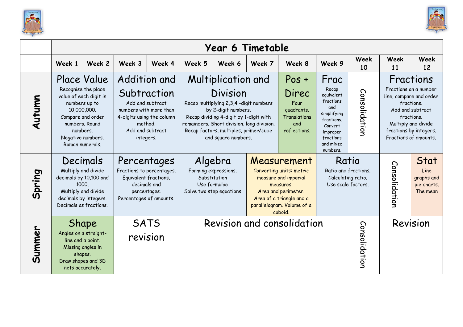



|        |                                                                                                                                             |                                                                               |                                                                                                                                                    |        |                                                                                             | Year 6 Timetable                                                                                                                                                                                                                                        |                                                                                                                                                                          |                                                                               |                                                                                                                                           |               |                                                                                                                                                                                         |                                                       |
|--------|---------------------------------------------------------------------------------------------------------------------------------------------|-------------------------------------------------------------------------------|----------------------------------------------------------------------------------------------------------------------------------------------------|--------|---------------------------------------------------------------------------------------------|---------------------------------------------------------------------------------------------------------------------------------------------------------------------------------------------------------------------------------------------------------|--------------------------------------------------------------------------------------------------------------------------------------------------------------------------|-------------------------------------------------------------------------------|-------------------------------------------------------------------------------------------------------------------------------------------|---------------|-----------------------------------------------------------------------------------------------------------------------------------------------------------------------------------------|-------------------------------------------------------|
|        | Week 1                                                                                                                                      | Week 2                                                                        | Week 3                                                                                                                                             | Week 4 | Week 5                                                                                      | Week 6                                                                                                                                                                                                                                                  | Week 7                                                                                                                                                                   | Week 8                                                                        | Week 9                                                                                                                                    | Week<br>10    | Week<br>11                                                                                                                                                                              | Week<br>12                                            |
| Autumn | 10,000,000.<br>Compare and order<br>numbers, Round<br>numbers.<br>Negative numbers.<br>Roman numerals.                                      | Place Value<br>Recognise the place<br>value of each digit in<br>numbers up to | Addition and<br>Subtraction<br>Add and subtract<br>numbers with more than<br>4-digits using the column<br>method.<br>Add and subtract<br>integers. |        |                                                                                             | Multiplication and<br>Division<br>Recap multiplying 2,3,4 -digit numbers<br>by 2-digit numbers.<br>Recap dividing 4-digit by 1-digit with<br>remainders. Short division, long division.<br>Recap factors, multiples, primer/cube<br>and square numbers. |                                                                                                                                                                          | $Pos +$<br>Direc<br>Four<br>quadrants.<br>Translations<br>and<br>reflections. | Frac<br>Recap<br>equivalent<br>fractions<br>and<br>simplifying<br>fractions.<br>Convert<br>improper<br>fractions<br>and mixed<br>numbers. | Consolidatior | Fractions<br>Fractions on a number<br>line, compare and order<br>fractions.<br>Add and subtract<br>fractions.<br>Multiply and divide<br>fractions by integers.<br>Fractions of amounts. |                                                       |
| Spring | Decimals<br>Multiply and divide<br>decimals by 10,100 and<br>1000<br>Multiply and divide<br>decimals by integers.<br>Decimals as fractions. |                                                                               | Percentages<br>Fractions to percentages.<br>Equivalent fractions,<br>decimals and<br>percentages.<br>Percentages of amounts.                       |        | Algebra<br>Forming expressions.<br>Substitution<br>Use formulae<br>Solve two step equations |                                                                                                                                                                                                                                                         | Measurement<br>Converting units: metric<br>measure and imperial<br>measures.<br>Area and perimeter.<br>Area of a triangle and a<br>parallelogram. Volume of a<br>cuboid. |                                                                               | Ratio<br>Ratio and fractions.<br>Calculating ratio.<br>Use scale factors.                                                                 |               | Consolidation                                                                                                                                                                           | Stat<br>Line<br>graphs and<br>pie charts.<br>The mean |
| Summer | Angles on a straight-<br>shapes.<br>Draw shapes and 3D                                                                                      | Shape<br>line and a point.<br>Missing angles in<br>nets accurately.           | <b>SATS</b><br>revision                                                                                                                            |        |                                                                                             |                                                                                                                                                                                                                                                         |                                                                                                                                                                          | Revision and consolidation                                                    |                                                                                                                                           | Consolidation |                                                                                                                                                                                         | Revision                                              |